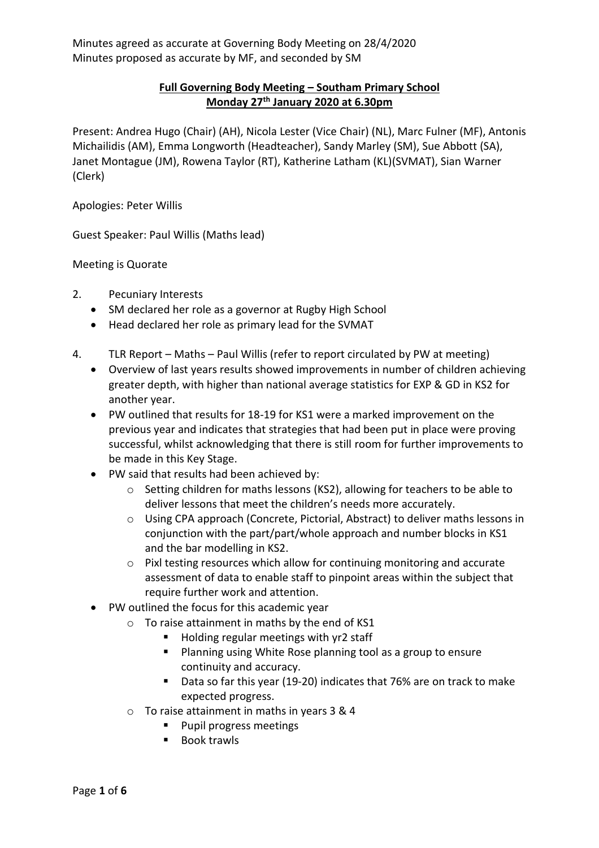## **Full Governing Body Meeting – Southam Primary School Monday 27th January 2020 at 6.30pm**

Present: Andrea Hugo (Chair) (AH), Nicola Lester (Vice Chair) (NL), Marc Fulner (MF), Antonis Michailidis (AM), Emma Longworth (Headteacher), Sandy Marley (SM), Sue Abbott (SA), Janet Montague (JM), Rowena Taylor (RT), Katherine Latham (KL)(SVMAT), Sian Warner (Clerk)

Apologies: Peter Willis

Guest Speaker: Paul Willis (Maths lead)

Meeting is Quorate

- 2. Pecuniary Interests
	- SM declared her role as a governor at Rugby High School
	- Head declared her role as primary lead for the SVMAT
- 4. TLR Report Maths Paul Willis (refer to report circulated by PW at meeting)
	- Overview of last years results showed improvements in number of children achieving greater depth, with higher than national average statistics for EXP & GD in KS2 for another year.
	- PW outlined that results for 18-19 for KS1 were a marked improvement on the previous year and indicates that strategies that had been put in place were proving successful, whilst acknowledging that there is still room for further improvements to be made in this Key Stage.
	- PW said that results had been achieved by:
		- o Setting children for maths lessons (KS2), allowing for teachers to be able to deliver lessons that meet the children's needs more accurately.
		- o Using CPA approach (Concrete, Pictorial, Abstract) to deliver maths lessons in conjunction with the part/part/whole approach and number blocks in KS1 and the bar modelling in KS2.
		- o Pixl testing resources which allow for continuing monitoring and accurate assessment of data to enable staff to pinpoint areas within the subject that require further work and attention.
	- PW outlined the focus for this academic year
		- o To raise attainment in maths by the end of KS1
			- Holding regular meetings with yr2 staff
			- Planning using White Rose planning tool as a group to ensure continuity and accuracy.
			- Data so far this year (19-20) indicates that 76% are on track to make expected progress.
		- o To raise attainment in maths in years 3 & 4
			- Pupil progress meetings
			- Book trawls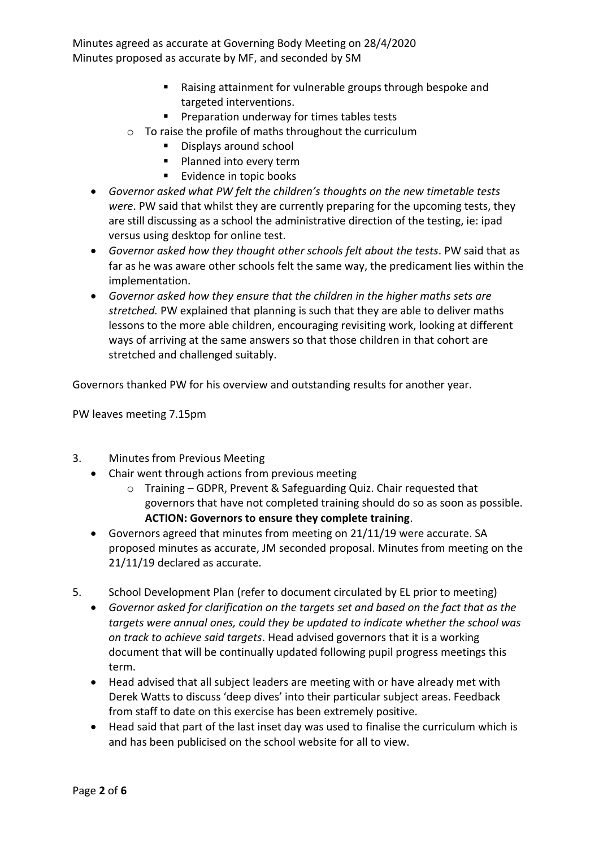- Raising attainment for vulnerable groups through bespoke and targeted interventions.
- Preparation underway for times tables tests
- o To raise the profile of maths throughout the curriculum
	- Displays around school
	- Planned into every term
	- Evidence in topic books
- *Governor asked what PW felt the children's thoughts on the new timetable tests were*. PW said that whilst they are currently preparing for the upcoming tests, they are still discussing as a school the administrative direction of the testing, ie: ipad versus using desktop for online test.
- *Governor asked how they thought other schools felt about the tests*. PW said that as far as he was aware other schools felt the same way, the predicament lies within the implementation.
- *Governor asked how they ensure that the children in the higher maths sets are stretched.* PW explained that planning is such that they are able to deliver maths lessons to the more able children, encouraging revisiting work, looking at different ways of arriving at the same answers so that those children in that cohort are stretched and challenged suitably.

Governors thanked PW for his overview and outstanding results for another year.

PW leaves meeting 7.15pm

- 3. Minutes from Previous Meeting
	- Chair went through actions from previous meeting
		- $\circ$  Training GDPR, Prevent & Safeguarding Quiz. Chair requested that governors that have not completed training should do so as soon as possible. **ACTION: Governors to ensure they complete training**.
	- Governors agreed that minutes from meeting on 21/11/19 were accurate. SA proposed minutes as accurate, JM seconded proposal. Minutes from meeting on the 21/11/19 declared as accurate.
- 5. School Development Plan (refer to document circulated by EL prior to meeting)
	- *Governor asked for clarification on the targets set and based on the fact that as the targets were annual ones, could they be updated to indicate whether the school was on track to achieve said targets*. Head advised governors that it is a working document that will be continually updated following pupil progress meetings this term.
	- Head advised that all subject leaders are meeting with or have already met with Derek Watts to discuss 'deep dives' into their particular subject areas. Feedback from staff to date on this exercise has been extremely positive.
	- Head said that part of the last inset day was used to finalise the curriculum which is and has been publicised on the school website for all to view.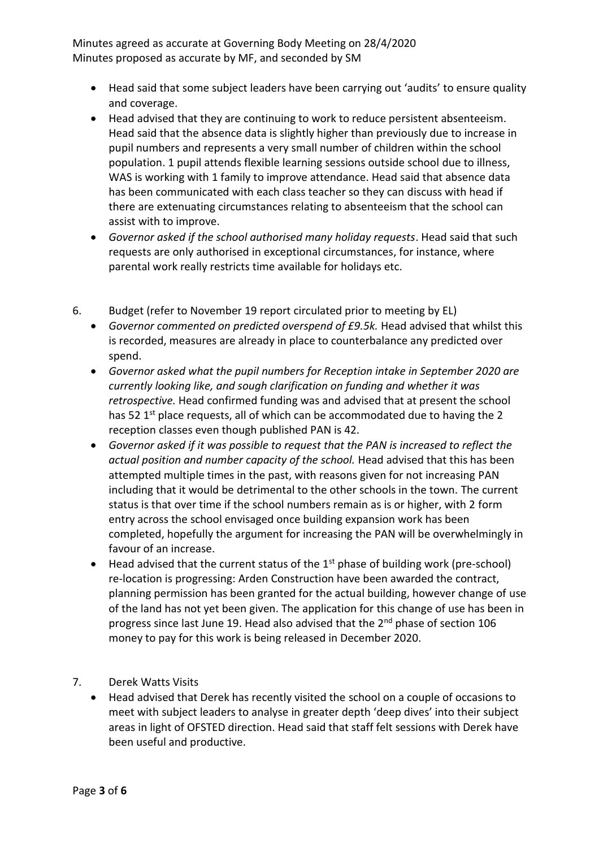- Head said that some subject leaders have been carrying out 'audits' to ensure quality and coverage.
- Head advised that they are continuing to work to reduce persistent absenteeism. Head said that the absence data is slightly higher than previously due to increase in pupil numbers and represents a very small number of children within the school population. 1 pupil attends flexible learning sessions outside school due to illness, WAS is working with 1 family to improve attendance. Head said that absence data has been communicated with each class teacher so they can discuss with head if there are extenuating circumstances relating to absenteeism that the school can assist with to improve.
- *Governor asked if the school authorised many holiday requests*. Head said that such requests are only authorised in exceptional circumstances, for instance, where parental work really restricts time available for holidays etc.
- 6. Budget (refer to November 19 report circulated prior to meeting by EL)
	- *Governor commented on predicted overspend of £9.5k.* Head advised that whilst this is recorded, measures are already in place to counterbalance any predicted over spend.
	- *Governor asked what the pupil numbers for Reception intake in September 2020 are currently looking like, and sough clarification on funding and whether it was retrospective.* Head confirmed funding was and advised that at present the school has 52 1<sup>st</sup> place requests, all of which can be accommodated due to having the 2 reception classes even though published PAN is 42.
	- *Governor asked if it was possible to request that the PAN is increased to reflect the actual position and number capacity of the school.* Head advised that this has been attempted multiple times in the past, with reasons given for not increasing PAN including that it would be detrimental to the other schools in the town. The current status is that over time if the school numbers remain as is or higher, with 2 form entry across the school envisaged once building expansion work has been completed, hopefully the argument for increasing the PAN will be overwhelmingly in favour of an increase.
	- Head advised that the current status of the  $1<sup>st</sup>$  phase of building work (pre-school) re-location is progressing: Arden Construction have been awarded the contract, planning permission has been granted for the actual building, however change of use of the land has not yet been given. The application for this change of use has been in progress since last June 19. Head also advised that the 2<sup>nd</sup> phase of section 106 money to pay for this work is being released in December 2020.
- 7. Derek Watts Visits
	- Head advised that Derek has recently visited the school on a couple of occasions to meet with subject leaders to analyse in greater depth 'deep dives' into their subject areas in light of OFSTED direction. Head said that staff felt sessions with Derek have been useful and productive.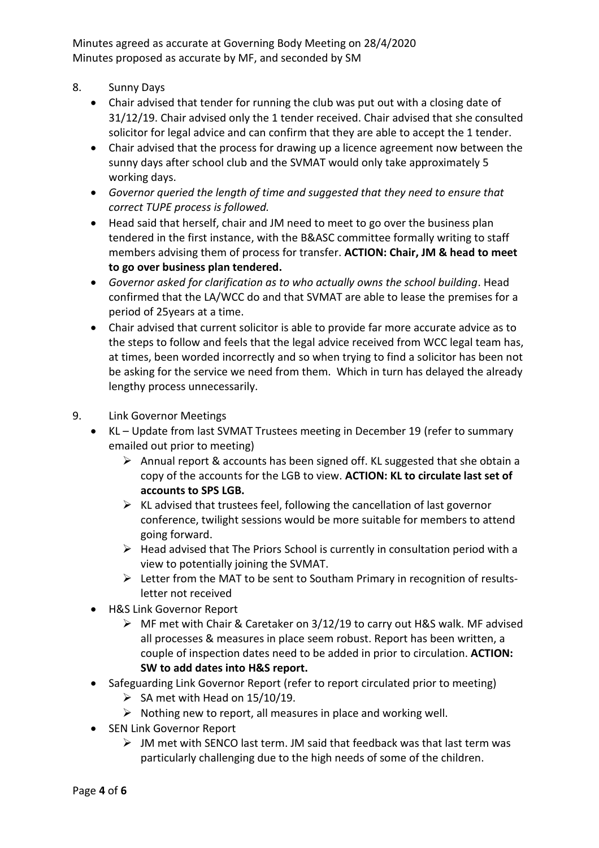- 8. Sunny Days
	- Chair advised that tender for running the club was put out with a closing date of 31/12/19. Chair advised only the 1 tender received. Chair advised that she consulted solicitor for legal advice and can confirm that they are able to accept the 1 tender.
	- Chair advised that the process for drawing up a licence agreement now between the sunny days after school club and the SVMAT would only take approximately 5 working days.
	- *Governor queried the length of time and suggested that they need to ensure that correct TUPE process is followed.*
	- Head said that herself, chair and JM need to meet to go over the business plan tendered in the first instance, with the B&ASC committee formally writing to staff members advising them of process for transfer. **ACTION: Chair, JM & head to meet to go over business plan tendered.**
	- *Governor asked for clarification as to who actually owns the school building*. Head confirmed that the LA/WCC do and that SVMAT are able to lease the premises for a period of 25years at a time.
	- Chair advised that current solicitor is able to provide far more accurate advice as to the steps to follow and feels that the legal advice received from WCC legal team has, at times, been worded incorrectly and so when trying to find a solicitor has been not be asking for the service we need from them. Which in turn has delayed the already lengthy process unnecessarily.
- 9. Link Governor Meetings
	- KL Update from last SVMAT Trustees meeting in December 19 (refer to summary emailed out prior to meeting)
		- ➢ Annual report & accounts has been signed off. KL suggested that she obtain a copy of the accounts for the LGB to view. **ACTION: KL to circulate last set of accounts to SPS LGB.**
		- $\triangleright$  KL advised that trustees feel, following the cancellation of last governor conference, twilight sessions would be more suitable for members to attend going forward.
		- $\triangleright$  Head advised that The Priors School is currently in consultation period with a view to potentially joining the SVMAT.
		- ➢ Letter from the MAT to be sent to Southam Primary in recognition of resultsletter not received
	- H&S Link Governor Report
		- $\triangleright$  MF met with Chair & Caretaker on 3/12/19 to carry out H&S walk. MF advised all processes & measures in place seem robust. Report has been written, a couple of inspection dates need to be added in prior to circulation. **ACTION: SW to add dates into H&S report.**
	- Safeguarding Link Governor Report (refer to report circulated prior to meeting)
		- $\triangleright$  SA met with Head on 15/10/19.
		- $\triangleright$  Nothing new to report, all measures in place and working well.
	- SEN Link Governor Report
		- ➢ JM met with SENCO last term. JM said that feedback was that last term was particularly challenging due to the high needs of some of the children.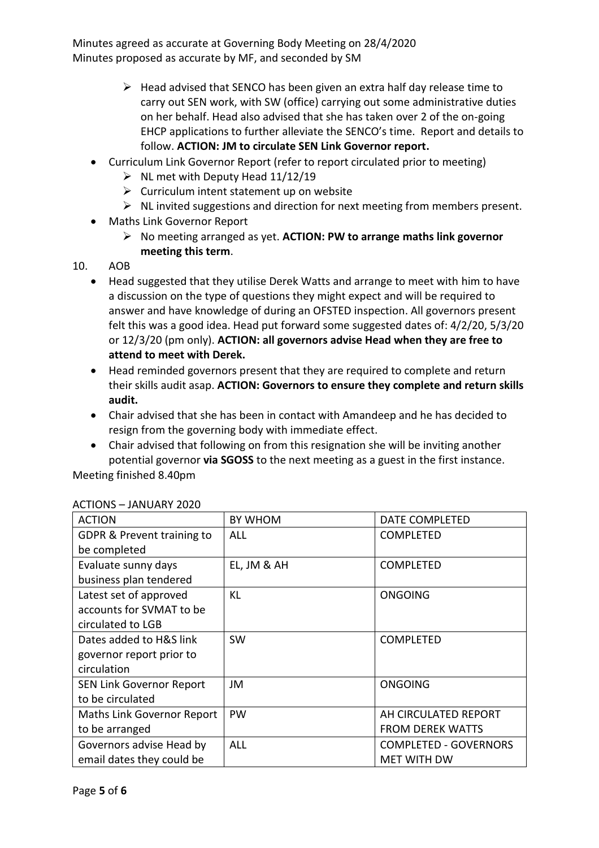- $\triangleright$  Head advised that SENCO has been given an extra half day release time to carry out SEN work, with SW (office) carrying out some administrative duties on her behalf. Head also advised that she has taken over 2 of the on-going EHCP applications to further alleviate the SENCO's time. Report and details to follow. **ACTION: JM to circulate SEN Link Governor report.**
- Curriculum Link Governor Report (refer to report circulated prior to meeting)
	- $\triangleright$  NL met with Deputy Head 11/12/19
	- $\triangleright$  Curriculum intent statement up on website
	- ➢ NL invited suggestions and direction for next meeting from members present.
- Maths Link Governor Report
	- ➢ No meeting arranged as yet. **ACTION: PW to arrange maths link governor meeting this term**.

## 10. AOB

- Head suggested that they utilise Derek Watts and arrange to meet with him to have a discussion on the type of questions they might expect and will be required to answer and have knowledge of during an OFSTED inspection. All governors present felt this was a good idea. Head put forward some suggested dates of: 4/2/20, 5/3/20 or 12/3/20 (pm only). **ACTION: all governors advise Head when they are free to attend to meet with Derek.**
- Head reminded governors present that they are required to complete and return their skills audit asap. **ACTION: Governors to ensure they complete and return skills audit.**
- Chair advised that she has been in contact with Amandeep and he has decided to resign from the governing body with immediate effect.
- Chair advised that following on from this resignation she will be inviting another potential governor **via SGOSS** to the next meeting as a guest in the first instance.

Meeting finished 8.40pm

| <b>ACTION</b>                         | <b>BY WHOM</b> | DATE COMPLETED               |
|---------------------------------------|----------------|------------------------------|
| <b>GDPR &amp; Prevent training to</b> | <b>ALL</b>     | <b>COMPLETED</b>             |
| be completed                          |                |                              |
| Evaluate sunny days                   | EL, JM & AH    | <b>COMPLETED</b>             |
| business plan tendered                |                |                              |
| Latest set of approved                | KL             | <b>ONGOING</b>               |
| accounts for SVMAT to be              |                |                              |
| circulated to LGB                     |                |                              |
| Dates added to H&S link               | <b>SW</b>      | <b>COMPLETED</b>             |
| governor report prior to              |                |                              |
| circulation                           |                |                              |
| SEN Link Governor Report              | JM             | <b>ONGOING</b>               |
| to be circulated                      |                |                              |
| Maths Link Governor Report            | PW             | AH CIRCULATED REPORT         |
| to be arranged                        |                | <b>FROM DEREK WATTS</b>      |
| Governors advise Head by              | <b>ALL</b>     | <b>COMPLETED - GOVERNORS</b> |
| email dates they could be             |                | <b>MET WITH DW</b>           |

## ACTIONS – JANUARY 2020